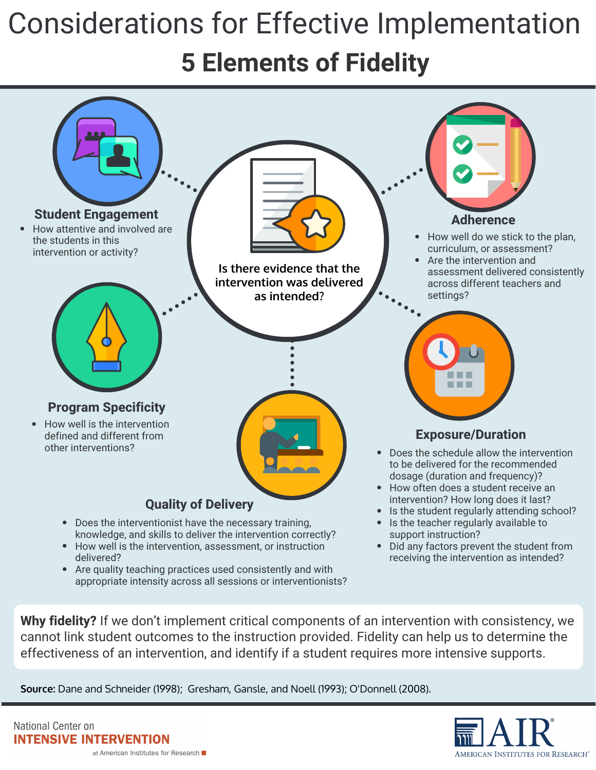## Considerations for Effective Implementation **5 Elements of Fidelity**



**Why fidelity?** If we don't implement critical components of an intervention with consistency, we cannot link student outcomes to the instruction provided. Fidelity can help us to determine the effectiveness of an intervention, and identify if a student requires more intensive supports.

**Source:** Dane and Schneider (1998); Gresham, Gansle, and Noell (1993); O'Donnell (2008).

National Center on **INTENSIVE INTERVENTION** at American Institutes for Research ■